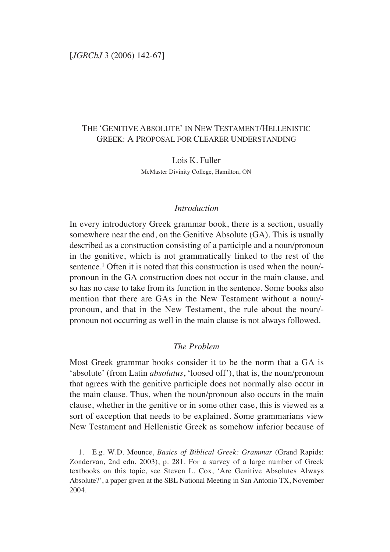# THE 'GENITIVE ABSOLUTE' IN NEW TESTAMENT/HELLENISTIC GREEK: A PROPOSAL FOR CLEARER UNDERSTANDING

Lois K. Fuller McMaster Divinity College, Hamilton, ON

## *Introduction*

In every introductory Greek grammar book, there is a section, usually somewhere near the end, on the Genitive Absolute (GA). This is usually described as a construction consisting of a participle and a noun/pronoun in the genitive, which is not grammatically linked to the rest of the sentence.<sup>1</sup> Often it is noted that this construction is used when the noun/pronoun in the GA construction does not occur in the main clause, and so has no case to take from its function in the sentence. Some books also mention that there are GAs in the New Testament without a noun/ pronoun, and that in the New Testament, the rule about the noun/ pronoun not occurring as well in the main clause is not always followed.

## *The Problem*

Most Greek grammar books consider it to be the norm that a GA is 'absolute' (from Latin *absolutus*, 'loosed off'), that is, the noun/pronoun that agrees with the genitive participle does not normally also occur in the main clause. Thus, when the noun/pronoun also occurs in the main clause, whether in the genitive or in some other case, this is viewed as a sort of exception that needs to be explained. Some grammarians view New Testament and Hellenistic Greek as somehow inferior because of

1. E.g. W.D. Mounce, *Basics of Biblical Greek: Grammar* (Grand Rapids: Zondervan, 2nd edn, 2003), p. 281. For a survey of a large number of Greek textbooks on this topic, see Steven L. Cox, 'Are Genitive Absolutes Always Absolute?', a paper given at the SBL National Meeting in San Antonio TX, November 2004.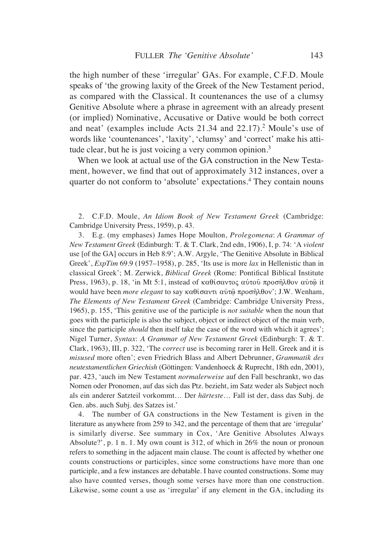the high number of these 'irregular' GAs. For example, C.F.D. Moule speaks of 'the growing laxity of the Greek of the New Testament period, as compared with the Classical. It countenances the use of a clumsy Genitive Absolute where a phrase in agreement with an already present (or implied) Nominative, Accusative or Dative would be both correct and neat' (examples include Acts 21.34 and 22.17).2 Moule's use of words like 'countenances', 'laxity', 'clumsy' and 'correct' make his attitude clear, but he is just voicing a very common opinion.<sup>3</sup>

When we look at actual use of the GA construction in the New Testament, however, we find that out of approximately 312 instances, over a quarter do not conform to 'absolute' expectations.4 They contain nouns

2. C.F.D. Moule, *An Idiom Book of New Testament Greek* (Cambridge: Cambridge University Press, 1959), p. 43.

3. E.g. (my emphases) James Hope Moulton, *Prolegomena*: *A Grammar of New Testament Greek* (Edinburgh: T. & T. Clark, 2nd edn, 1906), I, p. 74: 'A *violent* use [of the GA] occurs in Heb 8:9'; A.W. Argyle, 'The Genitive Absolute in Biblical Greek', *ExpTim* 69.9 (1957–1958), p. 285, 'Its use is more *lax* in Hellenistic than in classical Greek'; M. Zerwick, *Biblical Greek* (Rome: Pontifical Biblical Institute Press, 1963), p. 18, 'in Mt 5:1, instead of  $\kappa \alpha \theta i \sigma \alpha \nu \tau$   $\alpha \nu \tau$   $\sigma$   $\alpha \nu \tau$  autor  $\alpha \nu \tau \hat{\omega}$  it would have been *more elegant* to say καθίσαντι αὐτῶ προσῆλθον'; J.W. Wenham, *The Elements of New Testament Greek* (Cambridge: Cambridge University Press, 1965), p. 155, 'This genitive use of the participle is *not suitable* when the noun that goes with the participle is also the subject, object or indirect object of the main verb, since the participle *should* then itself take the case of the word with which it agrees'; Nigel Turner, *Syntax*: *A Grammar of New Testament Greek* (Edinburgh: T. & T. Clark, 1963), III, p. 322, 'The *correct* use is becoming rarer in Hell. Greek and it is *misused* more often'; even Friedrich Blass and Albert Debrunner, *Grammatik des neutestamentlichen Griechish* (Göttingen: Vandenhoeck & Ruprecht, 18th edn, 2001), par. 423, 'auch im New Testament *normalerweise* auf den Fall beschrankt, wo das Nomen oder Pronomen, auf das sich das Ptz. bezieht, im Satz weder als Subject noch als ein anderer Satzteil vorkommt… Der *härteste*… Fall ist der, dass das Subj. de Gen. abs. auch Subj. des Satzes ist.'

4. The number of GA constructions in the New Testament is given in the literature as anywhere from 259 to 342, and the percentage of them that are 'irregular' is similarly diverse. See summary in Cox, 'Are Genitive Absolutes Always Absolute?', p. 1 n. 1. My own count is 312, of which in 26% the noun or pronoun refers to something in the adjacent main clause. The count is affected by whether one counts constructions or participles, since some constructions have more than one participle, and a few instances are debatable. I have counted constructions. Some may also have counted verses, though some verses have more than one construction. Likewise, some count a use as 'irregular' if any element in the GA, including its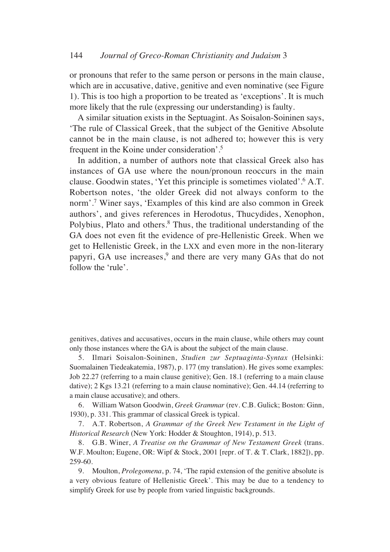or pronouns that refer to the same person or persons in the main clause, which are in accusative, dative, genitive and even nominative (see Figure 1). This is too high a proportion to be treated as 'exceptions'. It is much more likely that the rule (expressing our understanding) is faulty.

A similar situation exists in the Septuagint. As Soisalon-Soininen says, 'The rule of Classical Greek, that the subject of the Genitive Absolute cannot be in the main clause, is not adhered to; however this is very frequent in the Koine under consideration'.5

In addition, a number of authors note that classical Greek also has instances of GA use where the noun/pronoun reoccurs in the main clause. Goodwin states, 'Yet this principle is sometimes violated'.6 A.T. Robertson notes, 'the older Greek did not always conform to the norm'.7 Winer says, 'Examples of this kind are also common in Greek authors', and gives references in Herodotus, Thucydides, Xenophon, Polybius, Plato and others.<sup>8</sup> Thus, the traditional understanding of the GA does not even fit the evidence of pre-Hellenistic Greek. When we get to Hellenistic Greek, in the LXX and even more in the non-literary papyri, GA use increases,<sup>9</sup> and there are very many GAs that do not follow the 'rule'.

genitives, datives and accusatives, occurs in the main clause, while others may count only those instances where the GA is about the subject of the main clause.

5. Ilmari Soisalon-Soininen, *Studien zur Septuaginta-Syntax* (Helsinki: Suomalainen Tiedeakatemia, 1987), p. 177 (my translation). He gives some examples: Job 22.27 (referring to a main clause genitive); Gen. 18.1 (referring to a main clause dative); 2 Kgs 13.21 (referring to a main clause nominative); Gen. 44.14 (referring to a main clause accusative); and others.

6. William Watson Goodwin, *Greek Grammar* (rev. C.B. Gulick; Boston: Ginn, 1930), p. 331. This grammar of classical Greek is typical.

7. A.T. Robertson, *A Grammar of the Greek New Testament in the Light of Historical Research* (New York: Hodder & Stoughton, 1914), p. 513.

8. G.B. Winer, *A Treatise on the Grammar of New Testament Greek* (trans. W.F. Moulton; Eugene, OR: Wipf & Stock, 2001 [repr. of T. & T. Clark, 1882]), pp. 259-60.

9. Moulton, *Prolegomena*, p. 74, 'The rapid extension of the genitive absolute is a very obvious feature of Hellenistic Greek'. This may be due to a tendency to simplify Greek for use by people from varied linguistic backgrounds.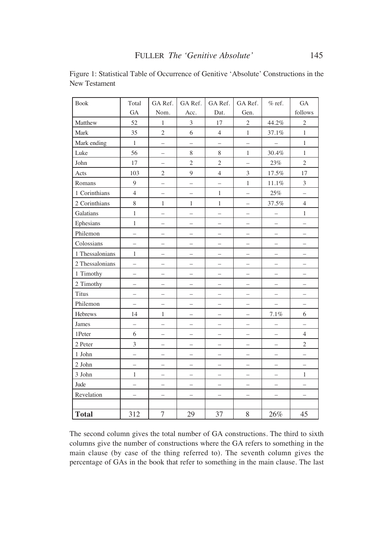| <b>Book</b>     | Total                    | GA Ref.                  | GA Ref.                  | GA Ref.                  | GA Ref.                  | $%$ ref.                 | <b>GA</b>                |
|-----------------|--------------------------|--------------------------|--------------------------|--------------------------|--------------------------|--------------------------|--------------------------|
|                 | <b>GA</b>                | Nom.                     | Acc.                     | Dat.                     | Gen.                     |                          | follows                  |
| Matthew         | 52                       | $\mathbf{1}$             | $\mathfrak{Z}$           | $17\,$                   | $\overline{2}$           | 44.2%                    | $\sqrt{2}$               |
| Mark            | 35                       | $\overline{2}$           | 6                        | $\overline{4}$           | $\mathbf{1}$             | 37.1%                    | $\,1$                    |
| Mark ending     | $\mathbf{1}$             | —                        | $\overline{\phantom{0}}$ | —                        | $\overline{\phantom{0}}$ | $\overline{\phantom{0}}$ | $\mathbf{1}$             |
| Luke            | 56                       | $\overline{\phantom{0}}$ | 8                        | $8\,$                    | $\mathbf{1}$             | 30.4%                    | $\mathbf{1}$             |
| John            | 17                       | $\qquad \qquad -$        | $\overline{2}$           | $\overline{2}$           | $\overline{a}$           | 23%                      | $\overline{2}$           |
| Acts            | 103                      | $\overline{2}$           | 9                        | $\overline{4}$           | $\overline{3}$           | $17.5\%$                 | 17                       |
| Romans          | $\mathbf{9}$             | $\overline{\phantom{0}}$ | $\overline{\phantom{0}}$ | $\overline{\phantom{0}}$ | $\mathbf{1}$             | $11.1\%$                 | $\overline{\mathbf{3}}$  |
| 1 Corinthians   | $\overline{4}$           | $\overline{\phantom{0}}$ | $\overline{\phantom{0}}$ | $\,1\,$                  | $\overline{\phantom{0}}$ | $25\%$                   | $\overline{\phantom{0}}$ |
| 2 Corinthians   | 8                        | $\mathbf{1}$             | $\mathbf{1}$             | $\mathbf{1}$             | $\overline{\phantom{0}}$ | 37.5%                    | $\overline{4}$           |
| Galatians       | $\mathbf{1}$             | -                        | $\overline{\phantom{0}}$ | $\overline{\phantom{0}}$ | $\qquad \qquad -$        | $\overline{\phantom{0}}$ | $\mathbf{1}$             |
| Ephesians       | $\mathbf{1}$             | -                        | $\overline{\phantom{0}}$ | $\overline{\phantom{0}}$ | $\overline{a}$           | $\overline{\phantom{0}}$ | $\overline{\phantom{0}}$ |
| Philemon        | $\overline{\phantom{0}}$ | $\overline{\phantom{0}}$ |                          | -                        | $\overline{\phantom{0}}$ | $\overline{\phantom{0}}$ |                          |
| Colossians      | $\overline{\phantom{0}}$ | $\overline{\phantom{0}}$ | -                        | $\overline{\phantom{0}}$ | $\overline{\phantom{0}}$ | $\overline{\phantom{0}}$ | -                        |
| 1 Thessalonians | $\mathbf{1}$             | -                        | $\overline{\phantom{0}}$ | $\overline{\phantom{0}}$ | $\overline{\phantom{0}}$ | $\overline{\phantom{0}}$ | —                        |
| 2 Thessalonians | $\overline{\phantom{0}}$ | $\overline{\phantom{0}}$ | $\overline{\phantom{0}}$ | —                        | $\overline{\phantom{0}}$ | $\overline{\phantom{0}}$ | $\overline{\phantom{0}}$ |
| 1 Timothy       | $\overline{\phantom{0}}$ | $\overline{\phantom{0}}$ | $\overline{\phantom{0}}$ | $\overline{\phantom{0}}$ | $\qquad \qquad -$        | $\overline{\phantom{0}}$ | $\overline{\phantom{0}}$ |
| 2 Timothy       | $\overline{\phantom{0}}$ | $\overline{\phantom{0}}$ | $\overline{\phantom{0}}$ | $\overline{\phantom{0}}$ | $\overline{\phantom{0}}$ | $\overline{\phantom{0}}$ | —                        |
| <b>Titus</b>    | $\overline{a}$           | $\overline{a}$           |                          | $\overline{a}$           | $\equiv$                 | $\equiv$                 | $\overline{a}$           |
| Philemon        | $\overline{\phantom{0}}$ | $\overline{\phantom{0}}$ | —                        | $\overline{\phantom{0}}$ | $\overline{\phantom{0}}$ | $\overline{\phantom{0}}$ | -                        |
| Hebrews         | 14                       | $\,1\,$                  | —                        | -                        | $\overline{\phantom{0}}$ | $7.1\%$                  | 6                        |
| James           | $\overline{a}$           | $\overline{\phantom{0}}$ | $\overline{\phantom{0}}$ | $\overline{\phantom{0}}$ | $\overline{\phantom{0}}$ | $\overline{\phantom{0}}$ | $\overline{\phantom{0}}$ |
| 1Peter          | 6                        | -                        | $\overline{\phantom{0}}$ | —                        | —                        | —                        | $\overline{4}$           |
| 2 Peter         | 3                        | $\overline{\phantom{0}}$ | $\overline{\phantom{0}}$ | $\overline{\phantom{0}}$ | $\overline{a}$           | $\overline{\phantom{0}}$ | $\sqrt{2}$               |
| 1 John          | $\overline{a}$           | $\overline{\phantom{0}}$ | $\overline{\phantom{0}}$ | $\overline{\phantom{0}}$ | $\overline{\phantom{0}}$ | $\overline{\phantom{0}}$ | $\overline{a}$           |
| 2 John          | $\overline{\phantom{0}}$ | $\overline{\phantom{0}}$ | —                        | -                        | $\overline{\phantom{0}}$ | $\overline{\phantom{0}}$ | -                        |
| 3 John          | $\mathbf{1}$             | $\overline{\phantom{0}}$ | $\overline{\phantom{0}}$ | $\overline{\phantom{0}}$ | $\overline{\phantom{0}}$ | $\overline{\phantom{0}}$ | $\,1$                    |
| Jude            | $\overline{\phantom{0}}$ | -                        | $\overline{\phantom{0}}$ | -                        | $\qquad \qquad -$        | $\qquad \qquad -$        | $\overline{\phantom{0}}$ |
| Revelation      | $\overline{\phantom{0}}$ | -                        | -                        | -                        | $\qquad \qquad -$        | -                        | —                        |
|                 |                          |                          |                          |                          |                          |                          |                          |
| <b>Total</b>    | 312                      | $\overline{7}$           | 29                       | 37                       | 8                        | 26%                      | 45                       |

Figure 1: Statistical Table of Occurrence of Genitive 'Absolute' Constructions in the New Testament

The second column gives the total number of GA constructions. The third to sixth columns give the number of constructions where the GA refers to something in the main clause (by case of the thing referred to). The seventh column gives the percentage of GAs in the book that refer to something in the main clause. The last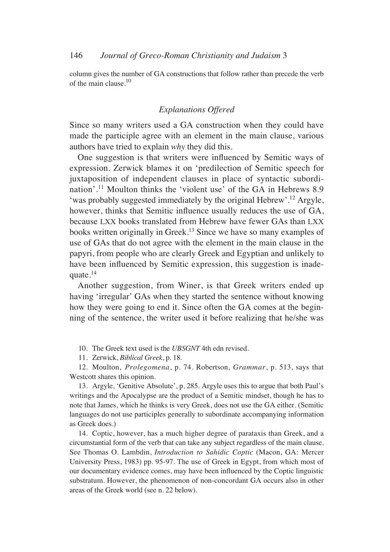column gives the number of GA constructions that follow rather than precede the verb of the main clause.10

## *Explanations Offered*

Since so many writers used a GA construction when they could have made the participle agree with an element in the main clause, various authors have tried to explain *why* they did this.

One suggestion is that writers were influenced by Semitic ways of expression. Zerwick blames it on 'predilection of Semitic speech for juxtaposition of independent clauses in place of syntactic subordination'.11 Moulton thinks the 'violent use' of the GA in Hebrews 8.9 'was probably suggested immediately by the original Hebrew'.12 Argyle, however, thinks that Semitic influence usually reduces the use of GA, because LXX books translated from Hebrew have fewer GAs than LXX books written originally in Greek.13 Since we have so many examples of use of GAs that do not agree with the element in the main clause in the papyri, from people who are clearly Greek and Egyptian and unlikely to have been influenced by Semitic expression, this suggestion is inadequate. $14$ 

Another suggestion, from Winer, is that Greek writers ended up having 'irregular' GAs when they started the sentence without knowing how they were going to end it. Since often the GA comes at the beginning of the sentence, the writer used it before realizing that he/she was

- 10. The Greek text used is the *UBSGNT* 4th edn revised.
- 11. Zerwick, *Biblical Greek*, p. 18.

12. Moulton, *Prolegomena*, p. 74. Robertson, *Grammar*, p. 513, says that Westcott shares this opinion.

13. Argyle, 'Genitive Absolute', p. 285. Argyle uses this to argue that both Paul's writings and the Apocalypse are the product of a Semitic mindset, though he has to note that James, which he thinks is very Greek, does not use the GA either. (Semitic languages do not use participles generally to subordinate accompanying information as Greek does.)

14. Coptic, however, has a much higher degree of parataxis than Greek, and a circumstantial form of the verb that can take any subject regardless of the main clause. See Thomas O. Lambdin, *Introduction to Sahidic Coptic* (Macon, GA: Mercer University Press, 1983) pp. 95-97. The use of Greek in Egypt, from which most of our documentary evidence comes, may have been influenced by the Coptic linguistic substratum. However, the phenomenon of non-concordant GA occurs also in other areas of the Greek world (see n. 22 below).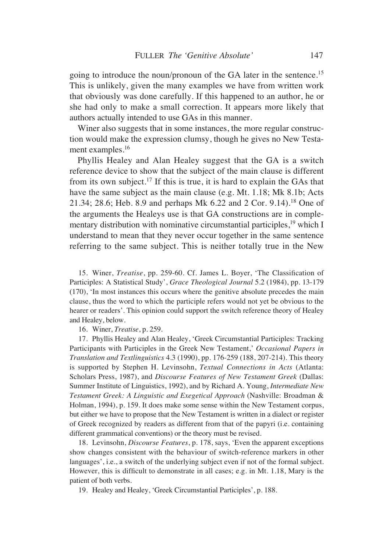going to introduce the noun/pronoun of the GA later in the sentence.<sup>15</sup> This is unlikely, given the many examples we have from written work that obviously was done carefully. If this happened to an author, he or she had only to make a small correction. It appears more likely that authors actually intended to use GAs in this manner.

Winer also suggests that in some instances, the more regular construction would make the expression clumsy, though he gives no New Testament examples.<sup>16</sup>

Phyllis Healey and Alan Healey suggest that the GA is a switch reference device to show that the subject of the main clause is different from its own subject.<sup>17</sup> If this is true, it is hard to explain the GAs that have the same subject as the main clause (e.g. Mt. 1.18; Mk 8.1b; Acts 21.34; 28.6; Heb. 8.9 and perhaps Mk 6.22 and 2 Cor. 9.14).18 One of the arguments the Healeys use is that GA constructions are in complementary distribution with nominative circumstantial participles,<sup>19</sup> which I understand to mean that they never occur together in the same sentence referring to the same subject. This is neither totally true in the New

15. Winer, *Treatise*, pp. 259-60. Cf. James L. Boyer, 'The Classification of Participles: A Statistical Study', *Grace Theological Journal* 5.2 (1984), pp. 13-179 (170), 'In most instances this occurs where the genitive absolute precedes the main clause, thus the word to which the participle refers would not yet be obvious to the hearer or readers'. This opinion could support the switch reference theory of Healey and Healey, below.

16. Winer, *Treatise*, p. 259.

17. Phyllis Healey and Alan Healey, 'Greek Circumstantial Participles: Tracking Participants with Participles in the Greek New Testament,' *Occasional Papers in Translation and Textlinguistics* 4.3 (1990), pp. 176-259 (188, 207-214). This theory is supported by Stephen H. Levinsohn, *Textual Connections in Acts* (Atlanta: Scholars Press, 1987), and *Discourse Features of New Testament Greek* (Dallas: Summer Institute of Linguistics, 1992), and by Richard A. Young, *Intermediate New Testament Greek: A Linguistic and Exegetical Approach* (Nashville: Broadman & Holman, 1994), p. 159. It does make some sense within the New Testament corpus, but either we have to propose that the New Testament is written in a dialect or register of Greek recognized by readers as different from that of the papyri (i.e. containing different grammatical conventions) or the theory must be revised.

18. Levinsohn, *Discourse Features*, p. 178, says, 'Even the apparent exceptions show changes consistent with the behaviour of switch-reference markers in other languages', i.e., a switch of the underlying subject even if not of the formal subject. However, this is difficult to demonstrate in all cases; e.g. in Mt. 1.18, Mary is the patient of both verbs.

19. Healey and Healey, 'Greek Circumstantial Participles', p. 188.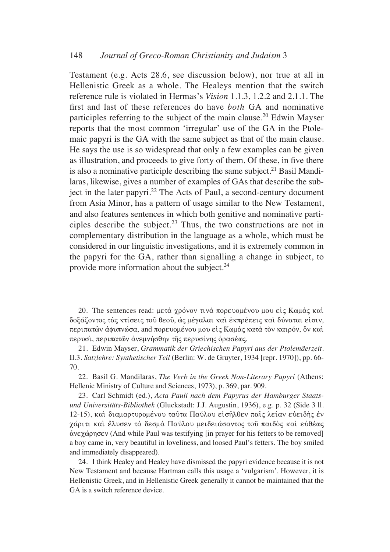Testament (e.g. Acts 28.6, see discussion below), nor true at all in Hellenistic Greek as a whole. The Healeys mention that the switch reference rule is violated in Hermas's *Vision* 1.1.3, 1.2.2 and 2.1.1. The first and last of these references do have *both* GA and nominative participles referring to the subject of the main clause.20 Edwin Mayser reports that the most common 'irregular' use of the GA in the Ptolemaic papyri is the GA with the same subject as that of the main clause. He says the use is so widespread that only a few examples can be given as illustration, and proceeds to give forty of them. Of these, in five there is also a nominative participle describing the same subject.<sup>21</sup> Basil Mandilaras, likewise, gives a number of examples of GAs that describe the subject in the later papyri.22 The Acts of Paul, a second-century document from Asia Minor, has a pattern of usage similar to the New Testament, and also features sentences in which both genitive and nominative participles describe the subject.<sup>23</sup> Thus, the two constructions are not in complementary distribution in the language as a whole, which must be considered in our linguistic investigations, and it is extremely common in the papyri for the GA, rather than signalling a change in subject, to provide more information about the subject.24

20. The sentences read: μετά χρόνον τινά πορευομένου μου είς Κωμάς και δοξάζοντος τας κτίσεις του θεου, ως μέγαλαι και εκπρέπεις και δύναται είσιν, περιπατῶν ἀφυπνώσα, and πορευομένου μου εἰς Κωμὰς κατὰ τὸν καιρόν, ὃν καὶ περυσί, περιπατών άνεμνήσθην της περυσίνης όρασέως.

21. Edwin Mayser, *Grammatik der Griechischen Papyri aus der Ptolemäerzeit*. II.3. *Satzlehre: Synthetischer Teil* (Berlin: W. de Gruyter, 1934 [repr. 1970]), pp. 66- 70.

22. Basil G. Mandilaras, *The Verb in the Greek Non-Literary Papyri* (Athens: Hellenic Ministry of Culture and Sciences, 1973), p. 369, par. 909.

23. Carl Schmidt (ed.), *Acta Pauli nach dem Papyrus der Hamburger Staatsund Universitäts-Bibliothek* (Gluckstadt: J.J. Augustin, 1936), e.g. p. 32 (Side 3 ll. 12-15), και διαμαρτυρομένου ταυτα Παύλου εισηλθεν παις λείαν ευειδής έν γάριτι καὶ ἔλυσεν τὰ δεσμὰ Παύλου μειδειάσαντος τοῦ παιδὸς καὶ εὐθέως  $\alpha$ νεχώρησεν (And while Paul was testifying [in prayer for his fetters to be removed] a boy came in, very beautiful in loveliness, and loosed Paul's fetters. The boy smiled and immediately disappeared).

24. I think Healey and Healey have dismissed the papyri evidence because it is not New Testament and because Hartman calls this usage a 'vulgarism'. However, it is Hellenistic Greek, and in Hellenistic Greek generally it cannot be maintained that the GA is a switch reference device.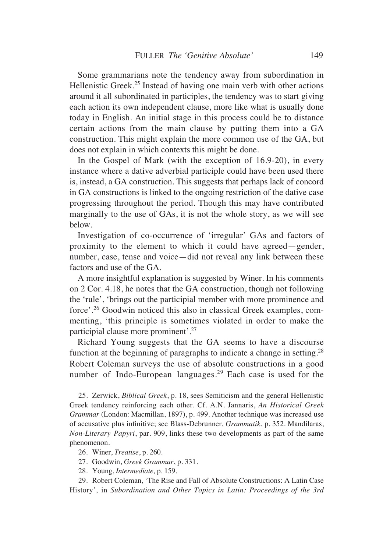Some grammarians note the tendency away from subordination in Hellenistic Greek.<sup>25</sup> Instead of having one main verb with other actions around it all subordinated in participles, the tendency was to start giving each action its own independent clause, more like what is usually done today in English. An initial stage in this process could be to distance certain actions from the main clause by putting them into a GA construction. This might explain the more common use of the GA, but does not explain in which contexts this might be done.

In the Gospel of Mark (with the exception of 16.9-20), in every instance where a dative adverbial participle could have been used there is, instead, a GA construction. This suggests that perhaps lack of concord in GA constructions is linked to the ongoing restriction of the dative case progressing throughout the period. Though this may have contributed marginally to the use of GAs, it is not the whole story, as we will see below.

Investigation of co-occurrence of 'irregular' GAs and factors of proximity to the element to which it could have agreed—gender, number, case, tense and voice—did not reveal any link between these factors and use of the GA.

A more insightful explanation is suggested by Winer. In his comments on 2 Cor. 4.18, he notes that the GA construction, though not following the 'rule', 'brings out the participial member with more prominence and force'.26 Goodwin noticed this also in classical Greek examples, commenting, 'this principle is sometimes violated in order to make the participial clause more prominent'.27

Richard Young suggests that the GA seems to have a discourse function at the beginning of paragraphs to indicate a change in setting.28 Robert Coleman surveys the use of absolute constructions in a good number of Indo-European languages.<sup>29</sup> Each case is used for the

25. Zerwick, *Biblical Greek*, p. 18, sees Semiticism and the general Hellenistic Greek tendency reinforcing each other. Cf. A.N. Jannaris, *An Historical Greek Grammar* (London: Macmillan, 1897), p. 499. Another technique was increased use of accusative plus infinitive; see Blass-Debrunner, *Grammatik*, p. 352. Mandilaras, *Non-Literary Papyri*, par. 909, links these two developments as part of the same phenomenon.

26. Winer, *Treatise*, p. 260.

27. Goodwin, *Greek Grammar*, p. 331.

28. Young, *Intermediate,* p. 159.

29. Robert Coleman, 'The Rise and Fall of Absolute Constructions: A Latin Case History', in *Subordination and Other Topics in Latin: Proceedings of the 3rd*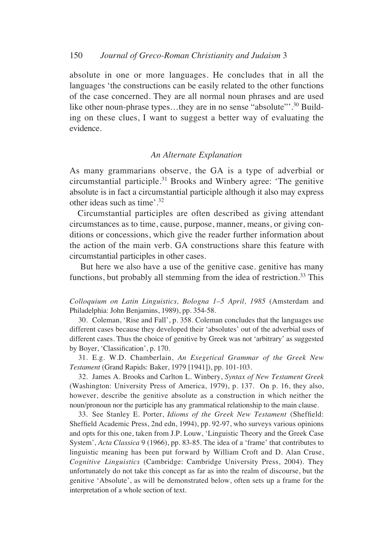absolute in one or more languages. He concludes that in all the languages 'the constructions can be easily related to the other functions of the case concerned. They are all normal noun phrases and are used like other noun-phrase types...they are in no sense "absolute"<sup>30</sup> Building on these clues, I want to suggest a better way of evaluating the evidence.

## *An Alternate Explanation*

As many grammarians observe, the GA is a type of adverbial or circumstantial participle.<sup>31</sup> Brooks and Winbery agree: 'The genitive absolute is in fact a circumstantial participle although it also may express other ideas such as time'.32

Circumstantial participles are often described as giving attendant circumstances as to time, cause, purpose, manner, means, or giving conditions or concessions, which give the reader further information about the action of the main verb. GA constructions share this feature with circumstantial participles in other cases.

But here we also have a use of the genitive case. genitive has many functions, but probably all stemming from the idea of restriction.<sup>33</sup> This

*Colloquium on Latin Linguistics, Bologna 1–5 April, 1985* (Amsterdam and Philadelphia: John Benjamins, 1989), pp. 354-58.

30. Coleman, 'Rise and Fall', p. 358. Coleman concludes that the languages use different cases because they developed their 'absolutes' out of the adverbial uses of different cases. Thus the choice of genitive by Greek was not 'arbitrary' as suggested by Boyer, 'Classification', p. 170.

31. E.g. W.D. Chamberlain, *An Exegetical Grammar of the Greek New Testament* (Grand Rapids: Baker, 1979 [1941]), pp. 101-103.

32. James A. Brooks and Carlton L. Winbery, *Syntax of New Testament Greek* (Washington: University Press of America, 1979), p. 137. On p. 16, they also, however, describe the genitive absolute as a construction in which neither the noun/pronoun nor the participle has any grammatical relationship to the main clause.

33. See Stanley E. Porter, *Idioms of the Greek New Testament* (Sheffield: Sheffield Academic Press, 2nd edn, 1994), pp. 92-97, who surveys various opinions and opts for this one, taken from J.P. Louw, 'Linguistic Theory and the Greek Case System', *Acta Classica* 9 (1966), pp. 83-85. The idea of a 'frame' that contributes to linguistic meaning has been put forward by William Croft and D. Alan Cruse, *Cognitive Linguistics* (Cambridge: Cambridge University Press, 2004). They unfortunately do not take this concept as far as into the realm of discourse, but the genitive 'Absolute', as will be demonstrated below, often sets up a frame for the interpretation of a whole section of text.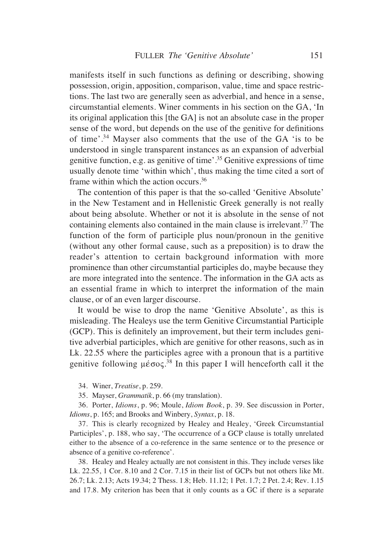manifests itself in such functions as defining or describing, showing possession, origin, apposition, comparison, value, time and space restrictions. The last two are generally seen as adverbial, and hence in a sense, circumstantial elements. Winer comments in his section on the GA, 'In its original application this [the GA] is not an absolute case in the proper sense of the word, but depends on the use of the genitive for definitions of time'.34 Mayser also comments that the use of the GA 'is to be understood in single transparent instances as an expansion of adverbial genitive function, e.g. as genitive of time'.35 Genitive expressions of time usually denote time 'within which', thus making the time cited a sort of frame within which the action occurs.36

The contention of this paper is that the so-called 'Genitive Absolute' in the New Testament and in Hellenistic Greek generally is not really about being absolute. Whether or not it is absolute in the sense of not containing elements also contained in the main clause is irrelevant.<sup>37</sup> The function of the form of participle plus noun/pronoun in the genitive (without any other formal cause, such as a preposition) is to draw the reader's attention to certain background information with more prominence than other circumstantial participles do, maybe because they are more integrated into the sentence. The information in the GA acts as an essential frame in which to interpret the information of the main clause, or of an even larger discourse.

It would be wise to drop the name 'Genitive Absolute', as this is misleading. The Healeys use the term Genitive Circumstantial Participle (GCP). This is definitely an improvement, but their term includes genitive adverbial participles, which are genitive for other reasons, such as in Lk. 22.55 where the participles agree with a pronoun that is a partitive genitive following  $\mu \epsilon \sigma o \varsigma^{38}$  In this paper I will henceforth call it the

34. Winer, *Treatise*, p. 259.

35. Mayser, *Grammatik*, p. 66 (my translation).

36. Porter, *Idioms*, p. 96; Moule, *Idiom Book*, p. 39. See discussion in Porter, *Idioms*, p. 165; and Brooks and Winbery, *Syntax*, p. 18.

37. This is clearly recognized by Healey and Healey, 'Greek Circumstantial Participles', p. 188, who say, 'The occurrence of a GCP clause is totally unrelated either to the absence of a co-reference in the same sentence or to the presence or absence of a genitive co-reference'.

38. Healey and Healey actually are not consistent in this. They include verses like Lk. 22.55, 1 Cor. 8.10 and 2 Cor. 7.15 in their list of GCPs but not others like Mt. 26.7; Lk. 2.13; Acts 19.34; 2 Thess. 1.8; Heb. 11.12; 1 Pet. 1.7; 2 Pet. 2.4; Rev. 1.15 and 17.8. My criterion has been that it only counts as a GC if there is a separate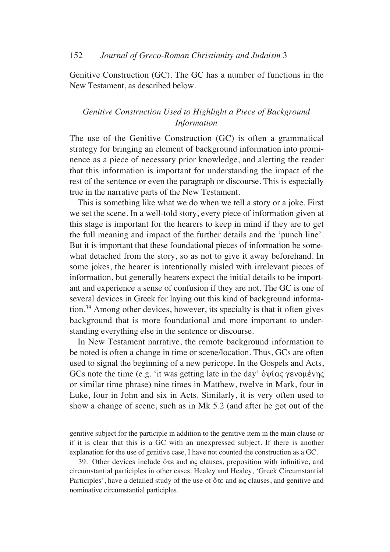Genitive Construction (GC). The GC has a number of functions in the New Testament, as described below.

# *Genitive Construction Used to Highlight a Piece of Background Information*

The use of the Genitive Construction (GC) is often a grammatical strategy for bringing an element of background information into prominence as a piece of necessary prior knowledge, and alerting the reader that this information is important for understanding the impact of the rest of the sentence or even the paragraph or discourse. This is especially true in the narrative parts of the New Testament.

This is something like what we do when we tell a story or a joke. First we set the scene. In a well-told story, every piece of information given at this stage is important for the hearers to keep in mind if they are to get the full meaning and impact of the further details and the 'punch line'. But it is important that these foundational pieces of information be somewhat detached from the story, so as not to give it away beforehand. In some jokes, the hearer is intentionally misled with irrelevant pieces of information, but generally hearers expect the initial details to be important and experience a sense of confusion if they are not. The GC is one of several devices in Greek for laying out this kind of background information.39 Among other devices, however, its specialty is that it often gives background that is more foundational and more important to understanding everything else in the sentence or discourse.

In New Testament narrative, the remote background information to be noted is often a change in time or scene/location. Thus, GCs are often used to signal the beginning of a new pericope. In the Gospels and Acts, GCs note the time (e.g. 'it was getting late in the day'  $\delta \psi \alpha \zeta \gamma$  gevolusting or similar time phrase) nine times in Matthew, twelve in Mark, four in Luke, four in John and six in Acts. Similarly, it is very often used to show a change of scene, such as in Mk 5.2 (and after he got out of the

genitive subject for the participle in addition to the genitive item in the main clause or if it is clear that this is a GC with an unexpressed subject. If there is another explanation for the use of genitive case, I have not counted the construction as a GC.

39. Other devices include  $\delta \tau \varepsilon$  and  $\dot{\omega} \varsigma$  clauses, preposition with infinitive, and circumstantial participles in other cases. Healey and Healey, 'Greek Circumstantial Participles', have a detailed study of the use of  $\delta \tau \epsilon$  and  $\delta \zeta$  clauses, and genitive and nominative circumstantial participles.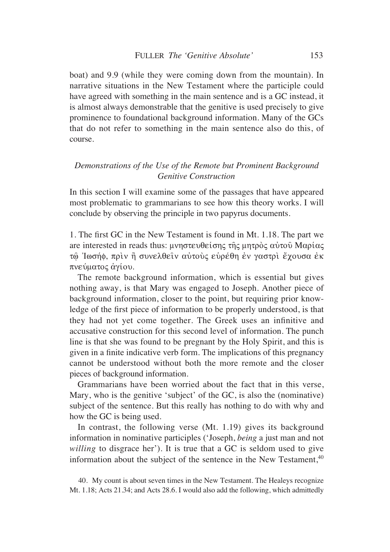boat) and 9.9 (while they were coming down from the mountain). In narrative situations in the New Testament where the participle could have agreed with something in the main sentence and is a GC instead, it is almost always demonstrable that the genitive is used precisely to give prominence to foundational background information. Many of the GCs that do not refer to something in the main sentence also do this, of course.

# *Demonstrations of the Use of the Remote but Prominent Background Genitive Construction*

In this section I will examine some of the passages that have appeared most problematic to grammarians to see how this theory works. I will conclude by observing the principle in two papyrus documents.

1. The first GC in the New Testament is found in Mt. 1.18. The part we are interested in reads thus: μνηστευθείσης της μητρός αύτου Μαρίας τώ Ιωσήφ, πριν ή συνελθείν αυτούς ευρέθη έν γαστρι έχουσα έκ πνεύματος άγίου.

The remote background information, which is essential but gives nothing away, is that Mary was engaged to Joseph. Another piece of background information, closer to the point, but requiring prior knowledge of the first piece of information to be properly understood, is that they had not yet come together. The Greek uses an infinitive and accusative construction for this second level of information. The punch line is that she was found to be pregnant by the Holy Spirit, and this is given in a finite indicative verb form. The implications of this pregnancy cannot be understood without both the more remote and the closer pieces of background information.

Grammarians have been worried about the fact that in this verse, Mary, who is the genitive 'subject' of the GC, is also the (nominative) subject of the sentence. But this really has nothing to do with why and how the GC is being used.

In contrast, the following verse (Mt. 1.19) gives its background information in nominative participles ('Joseph, *being* a just man and not *willing* to disgrace her'). It is true that a GC is seldom used to give information about the subject of the sentence in the New Testament,<sup>40</sup>

<sup>40.</sup> My count is about seven times in the New Testament. The Healeys recognize Mt. 1.18; Acts 21.34; and Acts 28.6. I would also add the following, which admittedly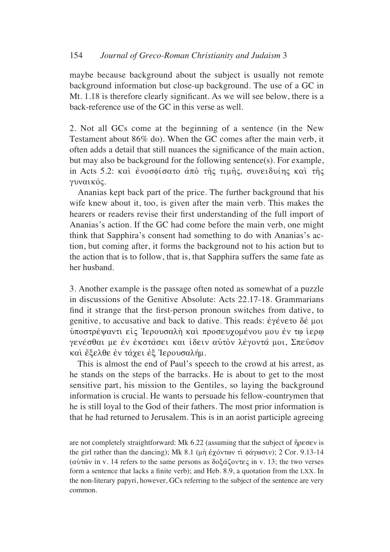maybe because background about the subject is usually not remote background information but close-up background. The use of a GC in Mt. 1.18 is therefore clearly significant. As we will see below, there is a back-reference use of the GC in this verse as well.

2. Not all GCs come at the beginning of a sentence (in the New Testament about 86% do). When the GC comes after the main verb, it often adds a detail that still nuances the significance of the main action, but may also be background for the following sentence(s). For example, in Acts 5.2: και ένοσφίσατο από της τιμής, συνειδυίης και της γυναικός.

Ananias kept back part of the price. The further background that his wife knew about it, too, is given after the main verb. This makes the hearers or readers revise their first understanding of the full import of Ananias's action. If the GC had come before the main verb, one might think that Sapphira's consent had something to do with Ananias's action, but coming after, it forms the background not to his action but to the action that is to follow, that is, that Sapphira suffers the same fate as her husband.

3. Another example is the passage often noted as somewhat of a puzzle in discussions of the Genitive Absolute: Acts 22.17-18. Grammarians find it strange that the first-person pronoun switches from dative, to genitive, to accusative and back to dative. This reads:  $\dot{\epsilon}$  y  $\acute{\epsilon}$  vero  $\delta \acute{\epsilon}$  µot υποστρέψαντι είς Ίερουσαλή και προσευχομένου μου έν τω ίερω γενέσθαι με έν έκστάσει και ίδειν αύτον λέγοντά μοι, Σπεύσον και έξελθε έν τάχει έξ Ιερουσαλήμ.

This is almost the end of Paul's speech to the crowd at his arrest, as he stands on the steps of the barracks. He is about to get to the most sensitive part, his mission to the Gentiles, so laying the background information is crucial. He wants to persuade his fellow-countrymen that he is still loyal to the God of their fathers. The most prior information is that he had returned to Jerusalem. This is in an aorist participle agreeing

are not completely straightforward: Mk  $6.22$  (assuming that the subject of  $\eta$  $\rho$  $\rho \sigma \sigma$  $\nu$  is the girl rather than the dancing); Mk 8.1 ( $\mu$ η έχόντων τι φάγωσιν); 2 Cor. 9.13-14 ( $\alpha \dot{\nu} \tau \hat{\omega}$  in v. 14 refers to the same persons as  $\delta \alpha \xi \alpha \zeta \nu \tau \epsilon \zeta$  in v. 13; the two verses form a sentence that lacks a finite verb); and Heb. 8.9, a quotation from the LXX. In the non-literary papyri, however, GCs referring to the subject of the sentence are very common.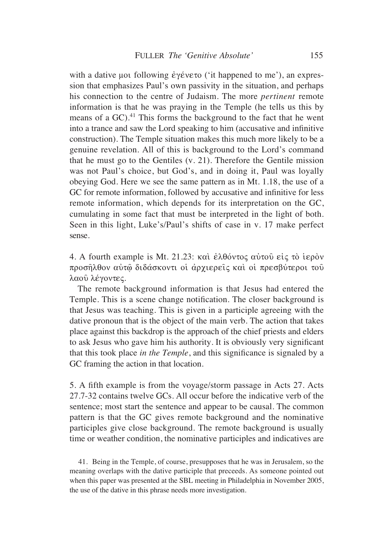with a dative µot following  $\dot{\epsilon}$   $\gamma \dot{\epsilon}$  vero ('it happened to me'), an expression that emphasizes Paul's own passivity in the situation, and perhaps his connection to the centre of Judaism. The more *pertinent* remote information is that he was praying in the Temple (he tells us this by means of a  $GC$ ).<sup>41</sup> This forms the background to the fact that he went into a trance and saw the Lord speaking to him (accusative and infinitive construction). The Temple situation makes this much more likely to be a genuine revelation. All of this is background to the Lord's command that he must go to the Gentiles (v. 21). Therefore the Gentile mission was not Paul's choice, but God's, and in doing it, Paul was loyally obeying God. Here we see the same pattern as in Mt. 1.18, the use of a GC for remote information, followed by accusative and infinitive for less remote information, which depends for its interpretation on the GC, cumulating in some fact that must be interpreted in the light of both. Seen in this light, Luke's/Paul's shifts of case in v. 17 make perfect sense.

4. A fourth example is Mt. 21.23: και έλθόντος αυτού είς το ιερον προσήλθον αύτώ διδάσκοντι οι άρχιερείς και οι πρεσβύτεροι του λαού λέγοντες.

The remote background information is that Jesus had entered the Temple. This is a scene change notification. The closer background is that Jesus was teaching. This is given in a participle agreeing with the dative pronoun that is the object of the main verb. The action that takes place against this backdrop is the approach of the chief priests and elders to ask Jesus who gave him his authority. It is obviously very significant that this took place *in the Temple*, and this significance is signaled by a GC framing the action in that location.

5. A fifth example is from the voyage/storm passage in Acts 27. Acts 27.7-32 contains twelve GCs. All occur before the indicative verb of the sentence; most start the sentence and appear to be causal. The common pattern is that the GC gives remote background and the nominative participles give close background. The remote background is usually time or weather condition, the nominative participles and indicatives are

41. Being in the Temple, of course, presupposes that he was in Jerusalem, so the meaning overlaps with the dative participle that preceeds. As someone pointed out when this paper was presented at the SBL meeting in Philadelphia in November 2005, the use of the dative in this phrase needs more investigation.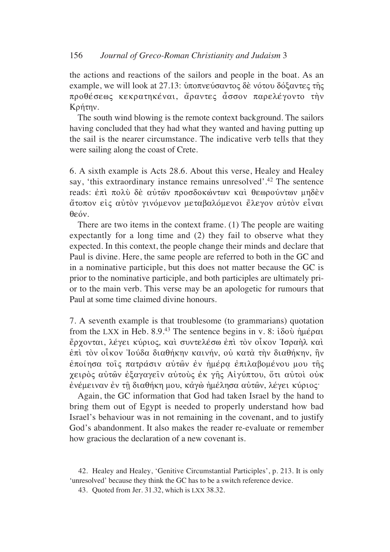the actions and reactions of the sailors and people in the boat. As an example, we will look at 27.13: υποπνεύσαντος δε νότου δόξαντες της προθέσεως κεκρατηκέναι, άραντες άσσον παρελέγοντο την Kpήτην.

The south wind blowing is the remote context background. The sailors having concluded that they had what they wanted and having putting up the sail is the nearer circumstance. The indicative verb tells that they were sailing along the coast of Crete.

6. A sixth example is Acts 28.6. About this verse, Healey and Healey say, 'this extraordinary instance remains unresolved'.<sup>42</sup> The sentence reads: έπι πολύ δέ αύτων προσδοκώντων και θεωρούντων μηδέν άτοπον είς αύτον γινόμενον μεταβαλόμενοι έλεγον αύτον είναι θεόν.

There are two items in the context frame. (1) The people are waiting expectantly for a long time and (2) they fail to observe what they expected. In this context, the people change their minds and declare that Paul is divine. Here, the same people are referred to both in the GC and in a nominative participle, but this does not matter because the GC is prior to the nominative participle, and both participles are ultimately prior to the main verb. This verse may be an apologetic for rumours that Paul at some time claimed divine honours.

7. A seventh example is that troublesome (to grammarians) quotation from the LXX in Heb. 8.9.<sup>43</sup> The sentence begins in v. 8:  $i\delta$ ov ήμέραι ερχονται, λέγει κύριος, και συντελέσω επι τον οίκον Ίσραηλ και επί τον οίκον Ίούδα διαθήκην καινήν, ού κατά την διαθήκην, ήν εποίησα τοις πατράσιν αύτων εν ήμέρα επιλαβομένου μου της χειρός αύτων έξαγαγείν αύτους έκ γης Αίγύπτου, ότι αύτοι ούκ ενέμειναν εν τη διαθήκη μου, καγώ ημέλησα αυτών, λέγει κύριος·

Again, the GC information that God had taken Israel by the hand to bring them out of Egypt is needed to properly understand how bad Israel's behaviour was in not remaining in the covenant, and to justify God's abandonment. It also makes the reader re-evaluate or remember how gracious the declaration of a new covenant is.

42. Healey and Healey, 'Genitive Circumstantial Participles', p. 213. It is only 'unresolved' because they think the GC has to be a switch reference device.

43. Quoted from Jer. 31.32, which is LXX 38.32.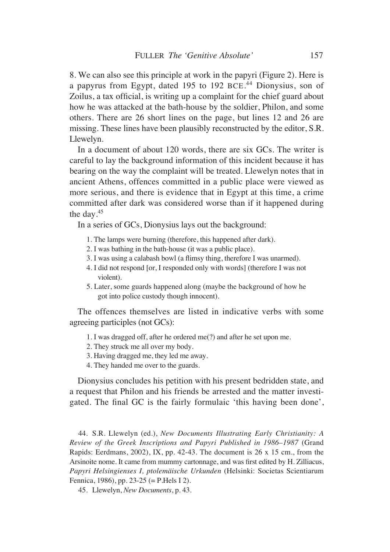8. We can also see this principle at work in the papyri (Figure 2). Here is a papyrus from Egypt, dated 195 to 192 BCE. <sup>44</sup> Dionysius, son of Zoilus, a tax official, is writing up a complaint for the chief guard about how he was attacked at the bath-house by the soldier, Philon, and some others. There are 26 short lines on the page, but lines 12 and 26 are missing. These lines have been plausibly reconstructed by the editor, S.R. Llewelyn.

In a document of about 120 words, there are six GCs. The writer is careful to lay the background information of this incident because it has bearing on the way the complaint will be treated. Llewelyn notes that in ancient Athens, offences committed in a public place were viewed as more serious, and there is evidence that in Egypt at this time, a crime committed after dark was considered worse than if it happened during the day.45

In a series of GCs, Dionysius lays out the background:

- 1. The lamps were burning (therefore, this happened after dark).
- 2. I was bathing in the bath-house (it was a public place).
- 3. I was using a calabash bowl (a flimsy thing, therefore I was unarmed).
- 4. I did not respond [or, I responded only with words] (therefore I was not violent).
- 5. Later, some guards happened along (maybe the background of how he got into police custody though innocent).

The offences themselves are listed in indicative verbs with some agreeing participles (not GCs):

- 1. I was dragged off, after he ordered me(?) and after he set upon me.
- 2. They struck me all over my body.
- 3. Having dragged me, they led me away.
- 4. They handed me over to the guards.

Dionysius concludes his petition with his present bedridden state, and a request that Philon and his friends be arrested and the matter investigated. The final GC is the fairly formulaic 'this having been done',

44. S.R. Llewelyn (ed.), *New Documents Illustrating Early Christianity: A Review of the Greek Inscriptions and Papyri Published in 1986–1987* (Grand Rapids: Eerdmans, 2002), IX, pp. 42-43. The document is 26 x 15 cm., from the Arsinoite nome. It came from mummy cartonnage, and was first edited by H. Zilliacus, *Papyri Helsingienses I, ptolemäische Urkunden* (Helsinki: Societas Scientiarum Fennica, 1986), pp. 23-25 (= P.Hels I 2).

45. Llewelyn, *New Documents*, p. 43.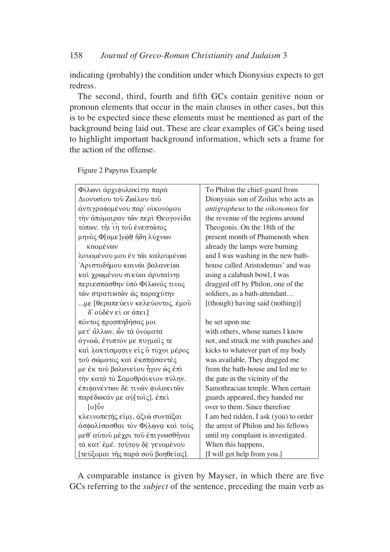indicating (probably) the condition under which Dionysius expects to get redress.

The second, third, fourth and fifth GCs contain genitive noun or pronoun elements that occur in the main clauses in other cases, but this is to be expected since these elements must be mentioned as part of the background being laid out. These are clear examples of GCs being used to highlight important background information, which sets a frame for the action of the offense.

| Φίλωνι άρχιφυλακίτηι παρά         | To Philon the chief-guard from        |
|-----------------------------------|---------------------------------------|
| Διονυσίου του Ζωίλου του          | Dionysius son of Zoilus who acts as   |
| άντιγραφομένου παρ' οίκονόμου     | antigrapheus to the oikonomos for     |
| την απόμοιραν των περί Θεογονίδα  | the revenue of the regions around     |
| τόπων. τηι τη τού ένεστώτος       | Theogonis. On the 18th of the         |
| μηνὸς Φ[αμε]γώθ ἤδη λύχνων        | present month of Phamenoth when       |
| καομένων                          | already the lamps were burning        |
| λουομένου μου έν τωι καλουμένωι   | and I was washing in the new bath-    |
| Ἀριστοδήμου καινῶι βαλανείωι      | house called Aristodemus' and was     |
| και χρωμένου σικύαι άρυταίνηι     | using a calabash bowl, I was          |
| περιεσπάσθην ύπό Φίλωνός τινος    | dragged off by Philon, one of the     |
| τών στρατιωτών ώς παραχύτην       | soldiers, as a bath-attendant         |
| με [θεραπεύειν κελεύοντος. έμοῦ   | [(though) having said (nothing)]      |
| δ' ούδεν εί or άπει]              |                                       |
| πόντος προσπηδήσας μοι            | he set upon me                        |
| μετ' ἄλλων, ὧν τὰ ὀνόματα         | with others, whose names I know       |
| άγνοώ, έτυπτόν με πυγμαίς τε      | not, and struck me with punches and   |
| και λακτίσμασιν είς ο τύχοι μέρος | kicks to whatever part of my body     |
| τού σώματος και έκσπάσαντές       | was available. They dragged me        |
| με έκ τοῦ βαλανείου ἦγον ὡς ἐπὶ   | from the bath-house and led me to     |
| την κατά το Σαμοθράικιον πύλην.   | the gate in the vicinity of the       |
| έπιφανέντων δέ τινών φυλακιτών    | Samothracian temple. When certain     |
| παρέδωκάν με αὐ[τοις]. ἐπεὶ       | guards appeared, they handed me       |
| $\lceil o \rceil \hat{v}$         | over to them. Since therefore         |
| κλεινοπετής είμι, άξιω συντάξαι   | I am bed ridden, I ask (you) to order |
| άσφαλίσασθαι τον Φίλωνα και τους  | the arrest of Philon and his fellows  |
| μεθ' αύτου μέχρι του έπιγνωσθηναι | until my complaint is investigated.   |
| τὰ κατ' έμέ. τούτου δέ γενομένου  | When this happens,                    |
| [τεύξομαι της παρά σου βοηθείας]. | [I will get help from you.]           |

Figure 2 Papyrus Example

A comparable instance is given by Mayser, in which there are five GCs referring to the *subject* of the sentence, preceding the main verb as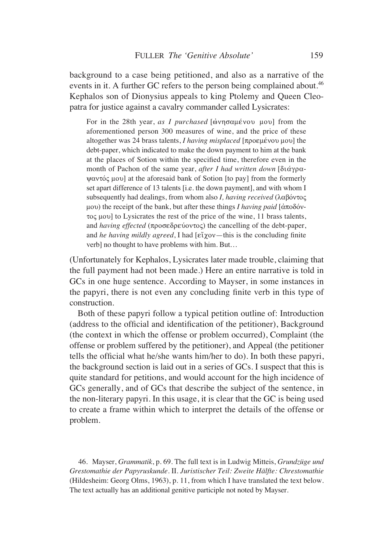background to a case being petitioned, and also as a narrative of the events in it. A further GC refers to the person being complained about.<sup>46</sup> Kephalos son of Dionysius appeals to king Ptolemy and Queen Cleopatra for justice against a cavalry commander called Lysicrates:

For in the 28th year, *as I purchased* [ώνησαμένου μου] from the aforementioned person 300 measures of wine, and the price of these altogether was 24 brass talents, *I having misplaced* [προεμένου μου] the debt-paper, which indicated to make the down payment to him at the bank at the places of Sotion within the specified time, therefore even in the month of Pachon of the same year, *after I had written down*  $\delta u \alpha y \rho \alpha$ - $\psi$ avtó $\varsigma$   $\psi$  at the aforesaid bank of Sotion [to pay] from the formerly set apart difference of 13 talents [i.e. the down payment], and with whom I subsequently had dealings, from whom also *I*, having received  $(\lambda \alpha \beta \acute{o} v \tau o \varsigma)$ μου) the receipt of the bank, but after these things *I having paid*  $\left[ \dot{\alpha} \pi \circ \delta \dot{\alpha} \right]$  $\tau$ o $\varsigma$  μου] to Lysicrates the rest of the price of the wine, 11 brass talents, and *having effected* ( $\pi \rho \sigma \epsilon \delta \rho \epsilon \dot{\rho} \sigma \sigma \dot{\epsilon}$ ) the cancelling of the debt-paper, and *he having mildly agreed*, I had  $[\text{eï}\gamma o v - \text{this is the concluding finite}]$ verb] no thought to have problems with him. But…

(Unfortunately for Kephalos, Lysicrates later made trouble, claiming that the full payment had not been made.) Here an entire narrative is told in GCs in one huge sentence. According to Mayser, in some instances in the papyri, there is not even any concluding finite verb in this type of construction.

Both of these papyri follow a typical petition outline of: Introduction (address to the official and identification of the petitioner), Background (the context in which the offense or problem occurred), Complaint (the offense or problem suffered by the petitioner), and Appeal (the petitioner tells the official what he/she wants him/her to do). In both these papyri, the background section is laid out in a series of GCs. I suspect that this is quite standard for petitions, and would account for the high incidence of GCs generally, and of GCs that describe the subject of the sentence, in the non-literary papyri. In this usage, it is clear that the GC is being used to create a frame within which to interpret the details of the offense or problem.

46. Mayser, *Grammatik*, p. 69. The full text is in Ludwig Mitteis, *Grundzüge und Grestomathie der Papyruskunde*. II. *Juristischer Teil: Zweite Hälfte: Chrestomathie* (Hildesheim: Georg Olms, 1963), p. 11, from which I have translated the text below. The text actually has an additional genitive participle not noted by Mayser.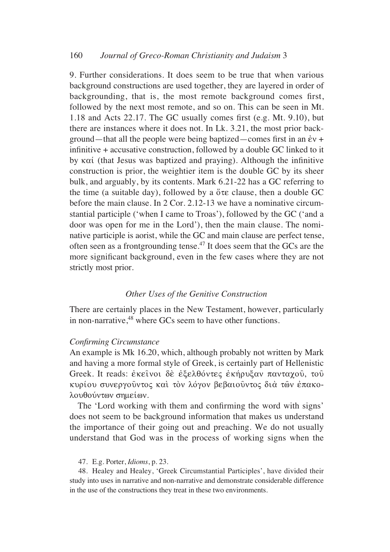9. Further considerations. It does seem to be true that when various background constructions are used together, they are layered in order of backgrounding, that is, the most remote background comes first, followed by the next most remote, and so on. This can be seen in Mt. 1.18 and Acts 22.17. The GC usually comes first (e.g. Mt. 9.10), but there are instances where it does not. In Lk. 3.21, the most prior background—that all the people were being baptized—comes first in an  $\dot{\epsilon}v$  + infinitive + accusative construction, followed by a double GC linked to it by  $\kappa \alpha'$  (that Jesus was baptized and praying). Although the infinitive construction is prior, the weightier item is the double GC by its sheer bulk, and arguably, by its contents. Mark 6.21-22 has a GC referring to the time (a suitable day), followed by a  $\sigma \in \mathcal{E}$  clause, then a double GC before the main clause. In 2 Cor. 2.12-13 we have a nominative circumstantial participle ('when I came to Troas'), followed by the GC ('and a door was open for me in the Lord'), then the main clause. The nominative participle is aorist, while the GC and main clause are perfect tense, often seen as a frontgrounding tense.47 It does seem that the GCs are the more significant background, even in the few cases where they are not strictly most prior.

## *Other Uses of the Genitive Construction*

There are certainly places in the New Testament, however, particularly in non-narrative,<sup>48</sup> where GCs seem to have other functions.

#### *Confirming Circumstance*

An example is Mk 16.20, which, although probably not written by Mark and having a more formal style of Greek, is certainly part of Hellenistic Greek. It reads: έκεινοι δε έξελθόντες εκήρυξαν πανταχού, του κυρίου συνεργούντος και τον λόγον βεβαιούντος διά τῶν ἐπακολουθούντων σημείων.

The 'Lord working with them and confirming the word with signs' does not seem to be background information that makes us understand the importance of their going out and preaching. We do not usually understand that God was in the process of working signs when the

#### 47. E.g. Porter, *Idioms*, p. 23.

48. Healey and Healey, 'Greek Circumstantial Participles', have divided their study into uses in narrative and non-narrative and demonstrate considerable difference in the use of the constructions they treat in these two environments.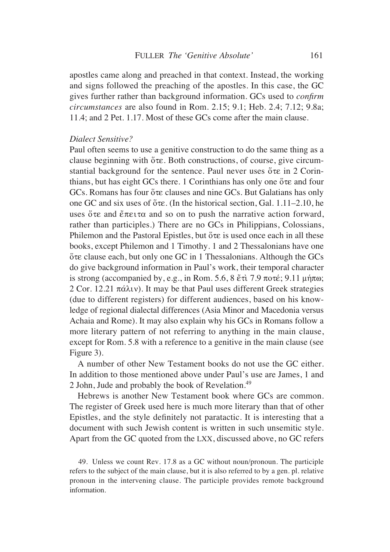apostles came along and preached in that context. Instead, the working and signs followed the preaching of the apostles. In this case, the GC gives further rather than background information. GCs used to *confirm circumstances* are also found in Rom. 2.15; 9.1; Heb. 2.4; 7.12; 9.8a; 11.4; and 2 Pet. 1.17. Most of these GCs come after the main clause.

### *Dialect Sensitive?*

Paul often seems to use a genitive construction to do the same thing as a clause beginning with  $\sigma \in \mathcal{E}$ . Both constructions, of course, give circumstantial background for the sentence. Paul never uses  $\tilde{o} \tau \varepsilon$  in 2 Corinthians, but has eight GCs there. 1 Corinthians has only one  $\tilde{o}$  and four GCs. Romans has four  $\sigma \in \sigma$  clauses and nine GCs. But Galatians has only one GC and six uses of  $\text{Ote}$ . (In the historical section, Gal. 1.11–2.10, he uses  $\ddot{\circ}$  te and  $\ddot{\varepsilon}$  and so on to push the narrative action forward, rather than participles.) There are no GCs in Philippians, Colossians, Philemon and the Pastoral Epistles, but  $\sigma \tau \varepsilon$  is used once each in all these books, except Philemon and 1 Timothy. 1 and 2 Thessalonians have one  $\sigma$ te clause each, but only one GC in 1 Thessalonians. Although the GCs do give background information in Paul's work, their temporal character is strong (accompanied by, e.g., in Rom. 5.6, 8  $\text{\&\check{e}}\text{\&\check{t}}\text{ }7.9 \text{ } \pi \text{o\check{t}}\text{; } 9.11 \text{ } \mu \text{\'{u}}\text{ } \pi \text{o}$ ; 2 Cor. 12.21  $\pi\acute{\alpha} \lambda \nu$ . It may be that Paul uses different Greek strategies (due to different registers) for different audiences, based on his knowledge of regional dialectal differences (Asia Minor and Macedonia versus Achaia and Rome). It may also explain why his GCs in Romans follow a more literary pattern of not referring to anything in the main clause, except for Rom. 5.8 with a reference to a genitive in the main clause (see Figure 3).

A number of other New Testament books do not use the GC either. In addition to those mentioned above under Paul's use are James, 1 and 2 John, Jude and probably the book of Revelation.49

Hebrews is another New Testament book where GCs are common. The register of Greek used here is much more literary than that of other Epistles, and the style definitely not paratactic. It is interesting that a document with such Jewish content is written in such unsemitic style. Apart from the GC quoted from the LXX, discussed above, no GC refers

49. Unless we count Rev. 17.8 as a GC without noun/pronoun. The participle refers to the subject of the main clause, but it is also referred to by a gen. pl. relative pronoun in the intervening clause. The participle provides remote background information.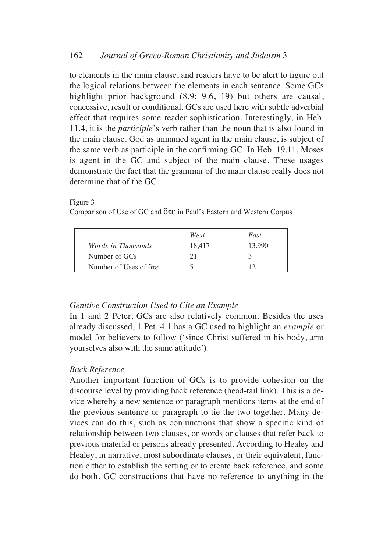to elements in the main clause, and readers have to be alert to figure out the logical relations between the elements in each sentence. Some GCs highlight prior background  $(8.9; 9.6, 19)$  but others are causal, concessive, result or conditional. GCs are used here with subtle adverbial effect that requires some reader sophistication. Interestingly, in Heb. 11.4, it is the *participle*'s verb rather than the noun that is also found in the main clause. God as unnamed agent in the main clause, is subject of the same verb as participle in the confirming GC. In Heb. 19.11, Moses is agent in the GC and subject of the main clause. These usages demonstrate the fact that the grammar of the main clause really does not determine that of the GC.

#### Figure 3

Comparison of Use of GC and  $\tilde{o}$  te in Paul's Eastern and Western Corpus

|                                     | West   | East          |
|-------------------------------------|--------|---------------|
| <i>Words in Thousands</i>           | 18,417 | 13,990        |
| Number of GCs                       | 21     | $\mathcal{A}$ |
| Number of Uses of $\sigma \epsilon$ |        |               |

## *Genitive Construction Used to Cite an Example*

In 1 and 2 Peter, GCs are also relatively common. Besides the uses already discussed, 1 Pet. 4.1 has a GC used to highlight an *example* or model for believers to follow ('since Christ suffered in his body, arm yourselves also with the same attitude').

## *Back Reference*

Another important function of GCs is to provide cohesion on the discourse level by providing back reference (head-tail link). This is a device whereby a new sentence or paragraph mentions items at the end of the previous sentence or paragraph to tie the two together. Many devices can do this, such as conjunctions that show a specific kind of relationship between two clauses, or words or clauses that refer back to previous material or persons already presented. According to Healey and Healey, in narrative, most subordinate clauses, or their equivalent, function either to establish the setting or to create back reference, and some do both. GC constructions that have no reference to anything in the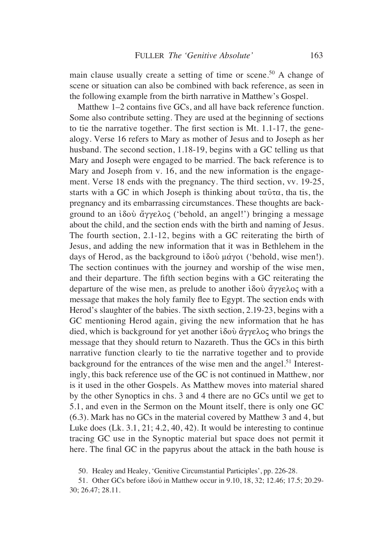main clause usually create a setting of time or scene.<sup>50</sup> A change of scene or situation can also be combined with back reference, as seen in the following example from the birth narrative in Matthew's Gospel.

Matthew 1–2 contains five GCs, and all have back reference function. Some also contribute setting. They are used at the beginning of sections to tie the narrative together. The first section is Mt. 1.1-17, the genealogy. Verse 16 refers to Mary as mother of Jesus and to Joseph as her husband. The second section, 1.18-19, begins with a GC telling us that Mary and Joseph were engaged to be married. The back reference is to Mary and Joseph from v. 16, and the new information is the engagement. Verse 18 ends with the pregnancy. The third section, vv. 19-25, starts with a GC in which Joseph is thinking about  $\tau \alpha \hat{v} \tau \alpha$ , that is, the pregnancy and its embarrassing circumstances. These thoughts are background to an  $i\delta \circ \check{\alpha} \gamma \circ \delta \circ \check{\alpha}$  ('behold, an angel!') bringing a message about the child, and the section ends with the birth and naming of Jesus. The fourth section, 2.1-12, begins with a GC reiterating the birth of Jesus, and adding the new information that it was in Bethlehem in the days of Herod, as the background to  $i\delta \phi \psi$   $\phi \gamma$  ('behold, wise men!). The section continues with the journey and worship of the wise men, and their departure. The fifth section begins with a GC reiterating the departure of the wise men, as prelude to another ίδου άγγελος with a message that makes the holy family flee to Egypt. The section ends with Herod's slaughter of the babies. The sixth section, 2.19-23, begins with a GC mentioning Herod again, giving the new information that he has died, which is background for yet another  $i\delta \phi$   $\alpha$   $\gamma$   $\epsilon \lambda$  who brings the message that they should return to Nazareth. Thus the GCs in this birth narrative function clearly to tie the narrative together and to provide background for the entrances of the wise men and the angel.<sup>51</sup> Interestingly, this back reference use of the GC is not continued in Matthew, nor is it used in the other Gospels. As Matthew moves into material shared by the other Synoptics in chs. 3 and 4 there are no GCs until we get to 5.1, and even in the Sermon on the Mount itself, there is only one GC (6.3). Mark has no GCs in the material covered by Matthew 3 and 4, but Luke does (Lk. 3.1, 21; 4.2, 40, 42). It would be interesting to continue tracing GC use in the Synoptic material but space does not permit it here. The final GC in the papyrus about the attack in the bath house is

<sup>50.</sup> Healey and Healey, 'Genitive Circumstantial Participles', pp. 226-28.

<sup>51.</sup> Other GCs before i $\delta \omega$  in Matthew occur in 9.10, 18, 32; 12.46; 17.5; 20.29-30; 26.47; 28.11.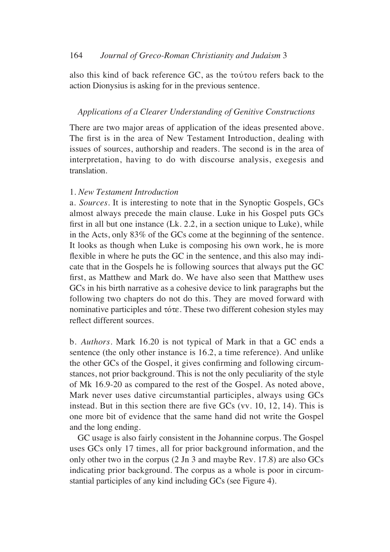also this kind of back reference  $GC$ , as the  $\tau$ ov $\tau$ ov refers back to the action Dionysius is asking for in the previous sentence.

## *Applications of a Clearer Understanding of Genitive Constructions*

There are two major areas of application of the ideas presented above. The first is in the area of New Testament Introduction, dealing with issues of sources, authorship and readers. The second is in the area of interpretation, having to do with discourse analysis, exegesis and translation.

## 1. *New Testament Introduction*

a. *Sources*. It is interesting to note that in the Synoptic Gospels, GCs almost always precede the main clause. Luke in his Gospel puts GCs first in all but one instance (Lk. 2.2, in a section unique to Luke), while in the Acts, only 83% of the GCs come at the beginning of the sentence. It looks as though when Luke is composing his own work, he is more flexible in where he puts the GC in the sentence, and this also may indicate that in the Gospels he is following sources that always put the GC first, as Matthew and Mark do. We have also seen that Matthew uses GCs in his birth narrative as a cohesive device to link paragraphs but the following two chapters do not do this. They are moved forward with nominative participles and  $\tau$  ote. These two different cohesion styles may reflect different sources.

b. *Authors.* Mark 16.20 is not typical of Mark in that a GC ends a sentence (the only other instance is 16.2, a time reference). And unlike the other GCs of the Gospel, it gives confirming and following circumstances, not prior background. This is not the only peculiarity of the style of Mk 16.9-20 as compared to the rest of the Gospel. As noted above, Mark never uses dative circumstantial participles, always using GCs instead. But in this section there are five GCs (vv. 10, 12, 14). This is one more bit of evidence that the same hand did not write the Gospel and the long ending.

GC usage is also fairly consistent in the Johannine corpus. The Gospel uses GCs only 17 times, all for prior background information, and the only other two in the corpus (2 Jn 3 and maybe Rev. 17.8) are also GCs indicating prior background. The corpus as a whole is poor in circumstantial participles of any kind including GCs (see Figure 4).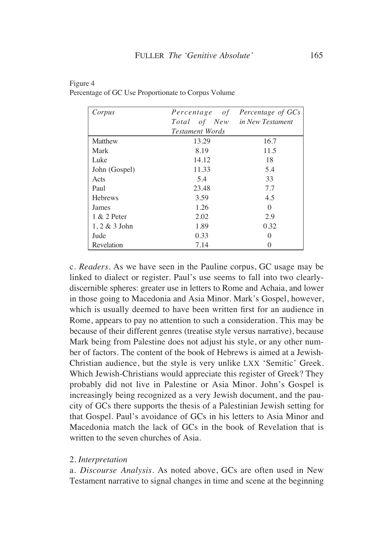| Corpus           | Percentage of                 | Percentage of GCs |
|------------------|-------------------------------|-------------------|
|                  | Total of New in New Testament |                   |
|                  | <b>Testament Words</b>        |                   |
| Matthew          | 13.29                         | 16.7              |
| Mark             | 8.19                          | 11.5              |
| Luke             | 14.12                         | 18                |
| John (Gospel)    | 11.33                         | 5.4               |
| Acts             | 5.4                           | 33                |
| Paul             | 23.48                         | 7.7               |
| <b>Hebrews</b>   | 3.59                          | 4.5               |
| James            | 1.26                          | $\Omega$          |
| 1 & 2 Peter      | 2.02                          | 2.9               |
| $1, 2 \& 3$ John | 1.89                          | 0.32              |
| Jude             | 0.33                          | 0                 |
| Revelation       | 7.14                          |                   |

| Figure 4                                            |  |
|-----------------------------------------------------|--|
| Percentage of GC Use Proportionate to Corpus Volume |  |

c. *Readers.* As we have seen in the Pauline corpus, GC usage may be linked to dialect or register. Paul's use seems to fall into two clearlydiscernible spheres: greater use in letters to Rome and Achaia, and lower in those going to Macedonia and Asia Minor. Mark's Gospel, however, which is usually deemed to have been written first for an audience in Rome, appears to pay no attention to such a consideration. This may be because of their different genres (treatise style versus narrative), because Mark being from Palestine does not adjust his style, or any other number of factors. The content of the book of Hebrews is aimed at a Jewish-Christian audience, but the style is very unlike LXX 'Semitic' Greek. Which Jewish-Christians would appreciate this register of Greek? They probably did not live in Palestine or Asia Minor. John's Gospel is increasingly being recognized as a very Jewish document, and the paucity of GCs there supports the thesis of a Palestinian Jewish setting for that Gospel. Paul's avoidance of GCs in his letters to Asia Minor and Macedonia match the lack of GCs in the book of Revelation that is written to the seven churches of Asia.

## 2. *Interpretation*

a. *Discourse Analysis.* As noted above, GCs are often used in New Testament narrative to signal changes in time and scene at the beginning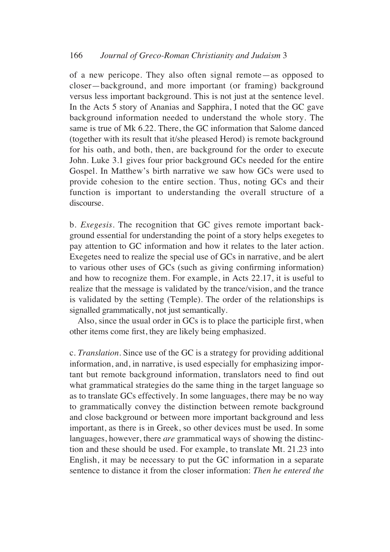of a new pericope. They also often signal remote—as opposed to closer—background, and more important (or framing) background versus less important background. This is not just at the sentence level. In the Acts 5 story of Ananias and Sapphira, I noted that the GC gave background information needed to understand the whole story. The same is true of Mk 6.22. There, the GC information that Salome danced (together with its result that it/she pleased Herod) is remote background for his oath, and both, then, are background for the order to execute John. Luke 3.1 gives four prior background GCs needed for the entire Gospel. In Matthew's birth narrative we saw how GCs were used to provide cohesion to the entire section. Thus, noting GCs and their function is important to understanding the overall structure of a discourse.

b. *Exegesis.* The recognition that GC gives remote important background essential for understanding the point of a story helps exegetes to pay attention to GC information and how it relates to the later action. Exegetes need to realize the special use of GCs in narrative, and be alert to various other uses of GCs (such as giving confirming information) and how to recognize them. For example, in Acts 22.17, it is useful to realize that the message is validated by the trance/vision, and the trance is validated by the setting (Temple). The order of the relationships is signalled grammatically, not just semantically.

Also, since the usual order in GCs is to place the participle first, when other items come first, they are likely being emphasized.

c. *Translation.* Since use of the GC is a strategy for providing additional information, and, in narrative, is used especially for emphasizing important but remote background information, translators need to find out what grammatical strategies do the same thing in the target language so as to translate GCs effectively. In some languages, there may be no way to grammatically convey the distinction between remote background and close background or between more important background and less important, as there is in Greek, so other devices must be used. In some languages, however, there *are* grammatical ways of showing the distinction and these should be used. For example, to translate Mt. 21.23 into English, it may be necessary to put the GC information in a separate sentence to distance it from the closer information: *Then he entered the*